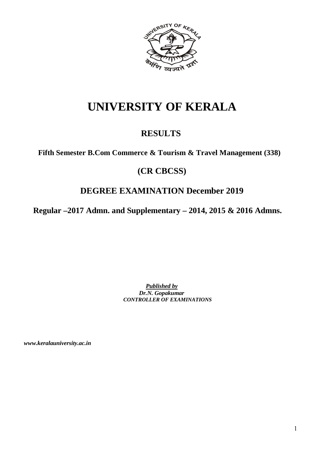

# **UNIVERSITY OF KERALA**

## **RESULTS**

**Fifth Semester B.Com Commerce & Tourism & Travel Management (338)**

## **(CR CBCSS)**

## **DEGREE EXAMINATION December 2019**

**Regular –2017 Admn. and Supplementary – 2014, 2015 & 2016 Admns.**

*Published by Dr.N. Gopakumar CONTROLLER OF EXAMINATIONS*

*www.keralauniversity.ac.in*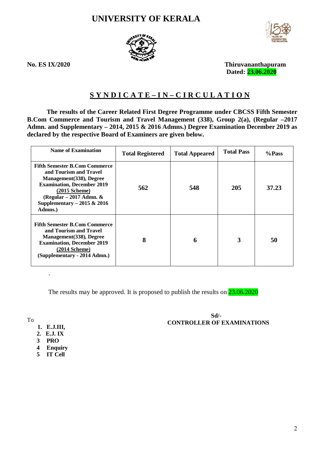## **UNIVERSITY OF KERALA**





**No. ES IX/2020 Thiruvananthapuram Dated: 23.06.2020**

## **S Y N D I C A T E – I N – C I R C U L A T I O N**

**The results of the Career Related First Degree Programme under CBCSS Fifth Semester B.Com Commerce and Tourism and Travel Management (338), Group 2(a), (Regular –2017 Admn. and Supplementary – 2014, 2015 & 2016 Admns.) Degree Examination December 2019 as declared by the respective Board of Examiners are given below.**

| <b>Name of Examination</b>                                                                                                                                                                                                   | <b>Total Registered</b> | <b>Total Appeared</b> | <b>Total Pass</b> | %Pass |
|------------------------------------------------------------------------------------------------------------------------------------------------------------------------------------------------------------------------------|-------------------------|-----------------------|-------------------|-------|
| <b>Fifth Semester B.Com Commerce</b><br>and Tourism and Travel<br>Management (338), Degree<br><b>Examination, December 2019</b><br>$(2015$ Scheme)<br>(Regular $-2017$ Admn. $\&$<br>Supplementary $-2015 & 2016$<br>Admns.) | 562                     | 548                   | 205               | 37.23 |
| <b>Fifth Semester B.Com Commerce</b><br>and Tourism and Travel<br>Management (338), Degree<br><b>Examination, December 2019</b><br>$(2014$ Scheme)<br>(Supplementary - 2014 Admn.)                                           | 8                       | 6                     | 3                 | 50    |

 $\ddot{\phantom{0}}$ 

The results may be approved. It is proposed to publish the results on  $23.06.2020$ 

To

- **1. E.J.III,**
- **2. E.J. IX**
- **3 PRO**
- **4 Enquiry**
- **5 IT Cell**

### **Sd/- CONTROLLER OF EXAMINATIONS**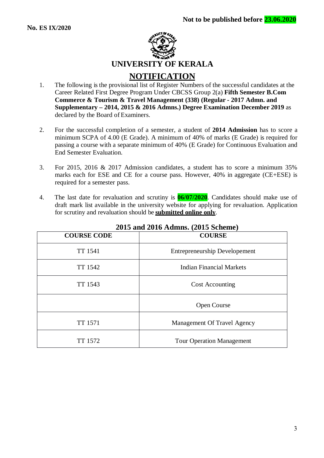

- 1. The following is the provisional list of Register Numbers of the successful candidates at the Career Related First Degree Program Under CBCSS Group 2(a) **Fifth Semester B.Com Commerce & Tourism & Travel Management (338) (Regular - 2017 Admn. and Supplementary – 2014, 2015 & 2016 Admns.) Degree Examination December 2019** as declared by the Board of Examiners.
- 2. For the successful completion of a semester, a student of **2014 Admission** has to score a minimum SCPA of 4.00 (E Grade). A minimum of 40% of marks (E Grade) is required for passing a course with a separate minimum of 40% (E Grade) for Continuous Evaluation and End Semester Evaluation.
- 3. For 2015, 2016 & 2017 Admission candidates, a student has to score a minimum 35% marks each for ESE and CE for a course pass. However, 40% in aggregate (CE+ESE) is required for a semester pass.
- 4. The last date for revaluation and scrutiny is **06/07/2020**. Candidates should make use of draft mark list available in the university website for applying for revaluation. Application for scrutiny and revaluation should be **submitted online only**.

| <b>COURSE CODE</b> | <b>COURSE</b>                        |
|--------------------|--------------------------------------|
| <b>TT</b> 1541     | <b>Entrepreneurship Developement</b> |
| TT 1542            | Indian Financial Markets             |
| TT 1543            | <b>Cost Accounting</b>               |
|                    | <b>Open Course</b>                   |
| <b>TT</b> 1571     | Management Of Travel Agency          |
| TT 1572            | <b>Tour Operation Management</b>     |

## **2015 and 2016 Admns. (2015 Scheme)**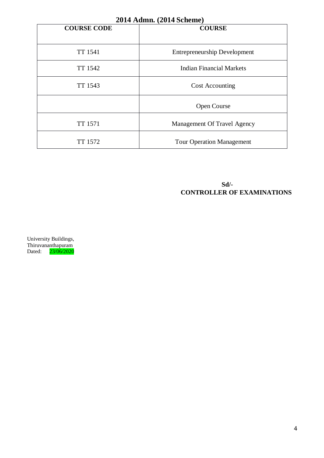| 2014 Admn. (2014 Scheme) |                                     |  |  |
|--------------------------|-------------------------------------|--|--|
| <b>COURSE CODE</b>       | <b>COURSE</b>                       |  |  |
|                          |                                     |  |  |
| TT 1541                  | <b>Entrepreneurship Development</b> |  |  |
| TT 1542                  | <b>Indian Financial Markets</b>     |  |  |
| TT 1543                  | <b>Cost Accounting</b>              |  |  |
|                          | <b>Open Course</b>                  |  |  |
| TT 1571                  | Management Of Travel Agency         |  |  |
| TT 1572                  | <b>Tour Operation Management</b>    |  |  |

## **Sd/- CONTROLLER OF EXAMINATIONS**

University Buildings, Thiruvananthapuram Dated: 23/06/2020

#### $\overline{4}$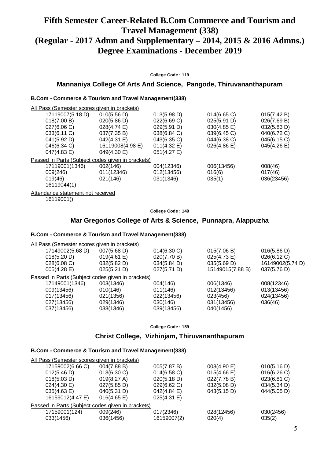## **Fifth Semester Career-Related B.Com Commerce and Tourism and Travel Management (338) (Regular - 2017 Admn and Supplementary – 2014, 2015 & 2016 Admns.) Degree Examinations - December 2019**

**College Code : 119**

### **Mannaniya College Of Arts And Science, Pangode, Thiruvananthapuram**

### **B.Com - Commerce & Tourism and Travel Management(338)**

| All Pass (Semester scores given in brackets)      |                  |                |             |             |
|---------------------------------------------------|------------------|----------------|-------------|-------------|
| 17119007(5.18 D)                                  | 010(5.56 D)      | 013(5.98 D)    | 014(6.65)   | 015(7.42 B) |
| 018(7.00 B)                                       | 020(5.86 D)      | 022(6.69 C)    | 025(5.91 D) | 026(7.69 B) |
| 027(6.06 C)                                       | 028(4.74 E)      | 029(5.91 D)    | 030(4.85 E) | 032(5.83 D) |
| 033(6.11 C)                                       | 037(7.35 B)      | 038(6.84 C)    | 039(6.45 C) | 040(6.72 C) |
| 041(5.92 D)                                       | 042(4.31 E)      | 043(6.35 C)    | 044(6.38 C) | 045(6.15 C) |
| 046(6.34 C)                                       | 16119008(4.98 E) | $011(4.32)$ E) | 026(4.86)   | 045(4.26 E) |
| $047(4.83 \text{ E})$                             | 049(4.30 E)      | 051(4.27 E)    |             |             |
| Passed in Parts (Subject codes given in brackets) |                  |                |             |             |
| 17119001(1346)                                    | 002(146)         | 004(12346)     | 006(13456)  | 008(46)     |
| 009(246)                                          | 011(12346)       | 012(13456)     | 016(6)      | 017(46)     |
| 019(46)                                           | 021(146)         | 031(1346)      | 035(1)      | 036(23456)  |
| 16119044(1)                                       |                  |                |             |             |
| Attendance statement not received                 |                  |                |             |             |

16119001()

**College Code : 149**

#### **Mar Gregorios College of Arts & Science, Punnapra, Alappuzha**

#### **B.Com - Commerce & Tourism and Travel Management(338)**

| All Pass (Semester scores given in brackets)      |             |             |                  |                  |
|---------------------------------------------------|-------------|-------------|------------------|------------------|
| 17149002(5.68 D)                                  | 007(5.68 D) | 014(6.30 C) | 015(7.06 B)      | 016(5.86 D)      |
| 018(5.20 D)                                       | 019(4.61 E) | 020(7.70 B) | 025(4.73 E)      | 026(6.12 C)      |
| 028(6.08 C)                                       | 032(5.82 D) | 034(5.84 D) | 035(5.69 D)      | 16149002(5.74 D) |
| 005(4.28)                                         | 025(5.21 D) | 027(5.71 D) | 15149015(7.88 B) | 037(5.76 D)      |
| Passed in Parts (Subject codes given in brackets) |             |             |                  |                  |
| 17149001(1346)                                    | 003(1346)   | 004(146)    | 006(1346)        | 008(12346)       |
| 009(13456)                                        | 010(146)    | 011(146)    | 012(13456)       | 013(13456)       |
| 017(13456)                                        | 021(1356)   | 022(13456)  | 023(456)         | 024(13456)       |
| 027(13456)                                        | 029(1346)   | 030(146)    | 031(13456)       | 036(46)          |
| 037(13456)                                        | 038(1346)   | 039(13456)  | 040(1456)        |                  |
|                                                   |             |             |                  |                  |

**College Code : 159**

### **Christ College, Vizhinjam, Thiruvananthapuram**

#### **B.Com - Commerce & Tourism and Travel Management(338)**

| All Pass (Semester scores given in brackets) |                |                                                   |             |
|----------------------------------------------|----------------|---------------------------------------------------|-------------|
| 004(7.88 B)                                  | 005(7.87 B)    | 008(4.90 E)                                       | 010(5.16 D) |
| $013(6.30)$ C)                               | 014(6.58)      | $015(4.66 \text{ E})$                             | 016(6.26)   |
| 019(8.27 A)                                  | 020(5.18 D)    | 022(7.78 B)                                       | 023(6.81 C) |
| $027(5.85 \text{ D})$                        | 029(6.62)      | 032(5.08 D)                                       | 034(5.34 D) |
| 040(5.31 D)                                  | 042(4.84)      | 043(5.15 D)                                       | 044(5.05 D) |
| 016(4.65)                                    | $025(4.31)$ E) |                                                   |             |
|                                              |                |                                                   |             |
| 009(246)                                     | 017(2346)      | 028(12456)                                        | 030(2456)   |
| 036(1456)                                    | 16159007(2)    | 020(4)                                            | 035(2)      |
|                                              |                | Passed in Parts (Subject codes given in brackets) |             |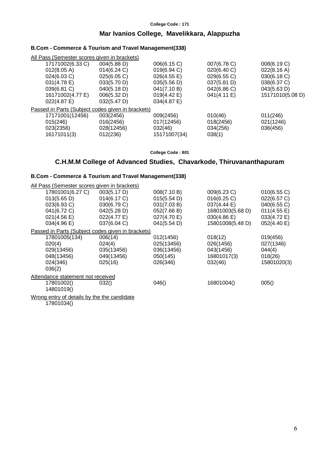#### **College Code : 171**

## **Mar Ivanios College, Mavelikkara, Alappuzha**

#### **B.Com - Commerce & Tourism and Travel Management(338)**

| All Pass (Semester scores given in brackets) |                                                   |                       |             |                  |
|----------------------------------------------|---------------------------------------------------|-----------------------|-------------|------------------|
| 17171002(6.33 C)                             | $004(5.88 \text{ D})$                             | 006(6.15 C)           | 007(6.78 C) | 008(6.19 C)      |
| 012(8.05 A)                                  | 014(6.24)                                         | 019(6.94 C)           | 020(6.40 C) | 022(8.16 A)      |
| 024(6.03 C)                                  | 025(6.05 C)                                       | 026(4.55 E)           | 029(6.55 C) | 030(6.18 C)      |
| 031(4.78 E)                                  | 033(5.70 D)                                       | 035(5.56 D)           | 037(5.81 D) | 038(6.37 C)      |
| 039(6.81 C)                                  | 040(5.18 D)                                       | 041(7.10 B)           | 042(6.86 C) | 043(5.63 D)      |
| 16171002(4.77 E)                             | 006(5.32 D)                                       | $019(4.42 \text{ E})$ | 041(4.11 E) | 15171010(5.08 D) |
| 022(4.87 E)                                  | 032(5.47 D)                                       | $034(4.87 \text{ E})$ |             |                  |
|                                              | Passed in Parts (Subject codes given in brackets) |                       |             |                  |
| 17171001(12456)                              | 003(2456)                                         | 009(2456)             | 010(46)     | 011(246)         |
| 015(246)                                     | 016(2456)                                         | 017(12456)            | 018(2456)   | 021(1246)        |
| 023(2356)                                    | 028(12456)                                        | 032(46)               | 034(256)    | 036(456)         |
| 16171011(3)                                  | 012(236)                                          | 15171007(34)          | 038(1)      |                  |
|                                              |                                                   |                       |             |                  |

**College Code : 801**

## **C.H.M.M College of Advanced Studies, Chavarkode, Thiruvananthapuram**

## **B.Com - Commerce & Tourism and Travel Management(338)**

| All Pass (Semester scores given in brackets)      |             |             |                  |             |
|---------------------------------------------------|-------------|-------------|------------------|-------------|
| 17801001(6.27 C)                                  | 003(5.17 D) | 008(7.10 B) | 009(6.23 C)      | 010(6.55 C) |
| 013(5.65 D)                                       | 014(6.17 C) | 015(5.54 D) | 016(6.25)        | 022(6.57 C) |
| 023(6.93 C)                                       | 030(6.79 C) | 031(7.03 B) | 037(4.44 E)      | 040(6.55 C) |
| 041(6.72 C)                                       | 042(5.28 D) | 052(7.66 B) | 16801003(5.68 D) | 011(4.55 E) |
| 021(4.56 E)                                       | 022(4.77 E) | 027(4.70 E) | 030(4.86)        | 033(4.72 E) |
| 034(4.96 E)                                       | 037(6.04 C) | 041(5.54 D) | 15801008(5.48 D) | 052(4.40 E) |
| Passed in Parts (Subject codes given in brackets) |             |             |                  |             |
| 17801005(134)                                     | 006(14)     | 012(1456)   | 018(12)          | 019(456)    |
| 020(4)                                            | 024(4)      | 025(13456)  | 026(1456)        | 027(1346)   |
| 029(13456)                                        | 035(13456)  | 036(13456)  | 043(1456)        | 044(4)      |
| 048(13456)                                        | 049(13456)  | 050(145)    | 16801017(3)      | 018(26)     |
| 024(346)                                          | 025(16)     | 026(346)    | 032(46)          | 15801020(3) |
| 036(2)                                            |             |             |                  |             |
| Attendance statement not received                 |             |             |                  |             |
| 17801002()                                        | 032()       | 046()       | 16801004()       | 005()       |
| 14801019()                                        |             |             |                  |             |
| Wrong entry of details by the the candidate       |             |             |                  |             |

17801034()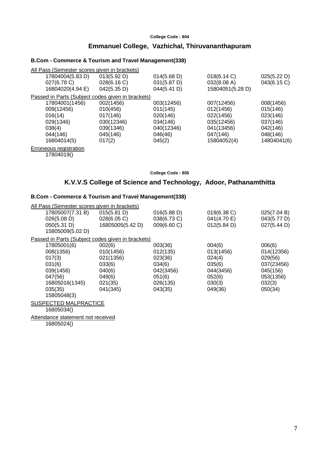#### **College Code : 804**

## **Emmanuel College, Vazhichal, Thiruvananthapuram**

#### **B.Com - Commerce & Tourism and Travel Management(338)**

| All Pass (Semester scores given in brackets)      |             |             |                  |             |
|---------------------------------------------------|-------------|-------------|------------------|-------------|
| 17804004(5.83 D)                                  | 013(5.92 D) | 014(5.68 D) | 018(6.14 C)      | 025(5.22 D) |
| 027(6.78 C)                                       | 028(6.16 C) | 031(5.87 D) | 032(8.08 A)      | 043(6.15 C) |
| 16804020(4.94 E)                                  | 042(5.35 D) | 044(5.41 D) | 15804051(5.28 D) |             |
| Passed in Parts (Subject codes given in brackets) |             |             |                  |             |
| 17804001(1456)                                    | 002(1456)   | 003(12456)  | 007(12456)       | 008(1456)   |
| 009(12456)                                        | 010(456)    | 011(145)    | 012(1456)        | 015(146)    |
| 016(14)                                           | 017(146)    | 020(146)    | 022(1456)        | 023(146)    |
| 029(1346)                                         | 030(12346)  | 034(146)    | 035(12456)       | 037(146)    |
| 038(4)                                            | 039(1346)   | 040(12346)  | 041(13456)       | 042(146)    |
| 044(146)                                          | 045(146)    | 046(46)     | 047(146)         | 048(146)    |
| 16804014(5)                                       | 017(2)      | 045(2)      | 15804052(4)      | 14804041(6) |
| Erroneous registration                            |             |             |                  |             |

17804019()

**College Code : 805**

### **K.V.V.S College of Science and Technology, Adoor, Pathanamthitta**

#### **B.Com - Commerce & Tourism and Travel Management(338)**

| All Pass (Semester scores given in brackets)      |                  |             |             |             |
|---------------------------------------------------|------------------|-------------|-------------|-------------|
| 17805007(7.31 B)                                  | 015(5.81 D)      | 016(5.88 D) | 019(6.38 C) | 025(7.04 B) |
| 026(5.08 D)                                       | 028(6.05 C)      | 038(6.73 C) | 041(4.70 E) | 043(5.77 D) |
| 050(5.31 D)                                       | 16805005(5.42 D) | 009(6.60 C) | 012(5.84 D) | 027(5.44 D) |
| 15805009(5.02 D)                                  |                  |             |             |             |
| Passed in Parts (Subject codes given in brackets) |                  |             |             |             |
| 17805001(6)                                       | 002(6)           | 003(36)     | 004(6)      | 006(6)      |
| 008(1356)                                         | 010(1456)        | 012(135)    | 013(1456)   | 014(12356)  |
| 017(3)                                            | 021(1356)        | 023(36)     | 024(4)      | 029(56)     |
| 031(6)                                            | 033(6)           | 034(6)      | 035(6)      | 037(23456)  |
| 039(1456)                                         | 040(6)           | 042(3456)   | 044(3456)   | 045(156)    |
| 047(56)                                           | 049(6)           | 051(6)      | 052(6)      | 053(1356)   |
| 16805016(1345)                                    | 021(35)          | 026(135)    | 030(3)      | 032(3)      |
| 035(35)                                           | 041(345)         | 043(35)     | 049(36)     | 050(34)     |
| 15805048(3)                                       |                  |             |             |             |
| SUSPECTED MALPRACTICE                             |                  |             |             |             |
| 16805034()                                        |                  |             |             |             |
| Attendance statement not received                 |                  |             |             |             |
|                                                   |                  |             |             |             |

16805024()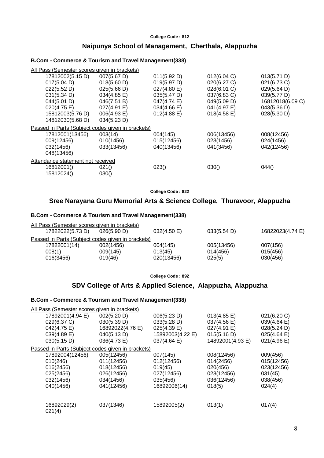#### **College Code : 812**

#### **Naipunya School of Management, Cherthala, Alappuzha**

#### **B.Com - Commerce & Tourism and Travel Management(338)**

| All Pass (Semester scores given in brackets)      |             |                       |                       |                  |
|---------------------------------------------------|-------------|-----------------------|-----------------------|------------------|
| 17812002(5.15 D)                                  | 007(5.67 D) | 011(5.92 D)           | 012(6.04 C)           | 013(5.71 D)      |
| 017(5.04 D)                                       | 018(5.60 D) | 019(5.97 D)           | 020(6.27 C)           | 021(6.73 C)      |
| 022(5.52 D)                                       | 025(5.66 D) | 027(4.80 E)           | 028(6.01 C)           | 029(5.64 D)      |
| 031(5.34 D)                                       | 034(4.85 E) | 035(5.47 D)           | 037(6.83 C)           | 039(5.77 D)      |
| 044(5.01 D)                                       | 046(7.51 B) | 047(4.74 E)           | 049(5.09 D)           | 16812018(6.09 C) |
| 020(4.75 E)                                       | 027(4.91 E) | $034(4.66 \text{ E})$ | 041(4.97 E)           | 043(5.36 D)      |
| 15812003(5.76 D)                                  | 006(4.93 E) | $012(4.88 \text{ E})$ | $018(4.58 \text{ E})$ | 028(5.30 D)      |
| 14812030(5.68 D)                                  | 034(5.23 D) |                       |                       |                  |
| Passed in Parts (Subject codes given in brackets) |             |                       |                       |                  |
| 17812001(13456)                                   | 003(14)     | 004(145)              | 006(13456)            | 008(12456)       |
| 009(12456)                                        | 010(1456)   | 015(12456)            | 023(1456)             | 024(1456)        |
| 032(1456)                                         | 033(13456)  | 040(13456)            | 041(3456)             | 042(12456)       |
| 048(13456)                                        |             |                       |                       |                  |
| Attendance statement not received                 |             |                       |                       |                  |
| 16812001()                                        | 021()       | 023()                 | 030()                 | 044()            |
| 15812024()                                        | 030()       |                       |                       |                  |
|                                                   |             |                       |                       |                  |

**College Code : 822**

## **Sree Narayana Guru Memorial Arts & Science College, Thuravoor, Alappuzha**

#### **B.Com - Commerce & Tourism and Travel Management(338)**

| All Pass (Semester scores given in brackets)      |             |            |             |                  |
|---------------------------------------------------|-------------|------------|-------------|------------------|
| 17822022(5.73 D)                                  | 026(5.90 D) | 032(4.50)  | 033(5.54 D) | 16822023(4.74 E) |
| Passed in Parts (Subject codes given in brackets) |             |            |             |                  |
| 17822001(14)                                      | 002(1456)   | 004(145)   | 005(13456)  | 007(156)         |
| 008(1)                                            | 009(145)    | 013(45)    | 014(456)    | 015(456)         |
| 016(3456)                                         | 019(46)     | 020(13456) | 025(5)      | 030(456)         |

**College Code : 892**

## **SDV College of Arts & Applied Science, Alappuzha, Alappuzha**

#### **B.Com - Commerce & Tourism and Travel Management(338)**

| All Pass (Semester scores given in brackets) |                                                   |                  |                       |                       |
|----------------------------------------------|---------------------------------------------------|------------------|-----------------------|-----------------------|
| 17892001(4.94 E)                             | 002(5.20 D)                                       | 006(5.23 D)      | $013(4.85 \text{ E})$ | 021(6.20 C)           |
| 029(6.37 C)                                  | 030(5.39 D)                                       | 033(5.28 D)      | 037(4.56 E)           | 039(4.64 E)           |
| 042(4.75 E)                                  | 16892022(4.76 E)                                  | $025(4.39)$ E)   | 027(4.91 E)           | 028(5.24 D)           |
| 039(4.89 E)                                  | 040(5.13 D)                                       | 15892003(4.22 E) | 015(5.16 D)           | $025(4.64 \text{ E})$ |
| 030(5.15 D)                                  | 036(4.73 E)                                       | 037(4.64)        | 14892001(4.93 E)      | 021(4.96 E)           |
|                                              | Passed in Parts (Subject codes given in brackets) |                  |                       |                       |
| 17892004(12456)                              | 005(12456)                                        | 007(145)         | 008(12456)            | 009(456)              |
| 010(246)                                     | 011(12456)                                        | 012(12456)       | 014(2456)             | 015(12456)            |
| 016(2456)                                    | 018(12456)                                        | 019(45)          | 020(456)              | 023(12456)            |
| 025(2456)                                    | 026(12456)                                        | 027(12456)       | 028(12456)            | 031(45)               |
| 032(1456)                                    | 034(1456)                                         | 035(456)         | 036(12456)            | 038(456)              |
| 040(1456)                                    | 041(12456)                                        | 16892006(14)     | 018(5)                | 024(4)                |
| 16892029(2)<br>021(4)                        | 037(1346)                                         | 15892005(2)      | 013(1)                | 017(4)                |